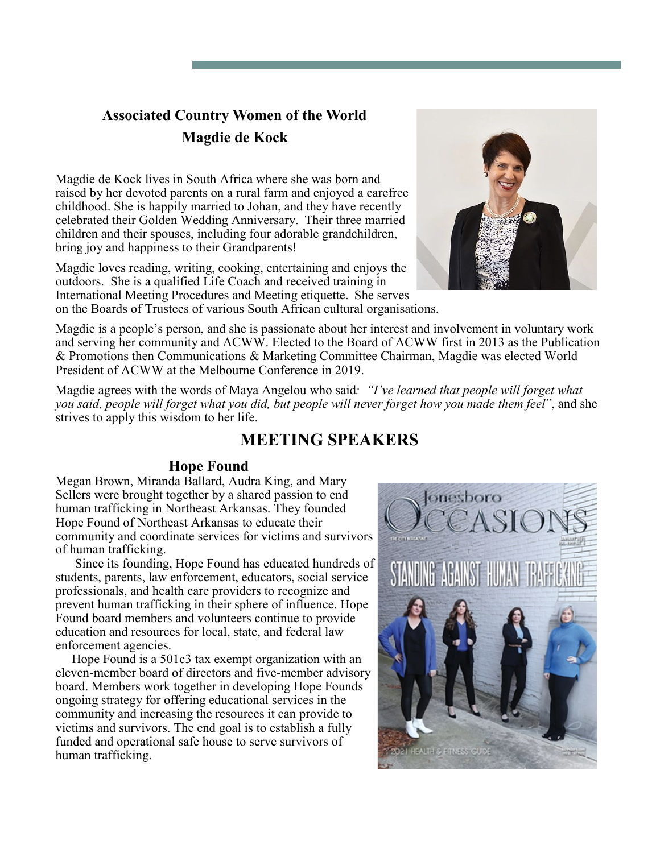## **Associated Country Women of the World Magdie de Kock**

Magdie de Kock lives in South Africa where she was born and raised by her devoted parents on a rural farm and enjoyed a carefree childhood. She is happily married to Johan, and they have recently celebrated their Golden Wedding Anniversary. Their three married children and their spouses, including four adorable grandchildren, bring joy and happiness to their Grandparents!

Magdie loves reading, writing, cooking, entertaining and enjoys the outdoors. She is a qualified Life Coach and received training in International Meeting Procedures and Meeting etiquette. She serves on the Boards of Trustees of various South African cultural organisations.



Magdie is a people's person, and she is passionate about her interest and involvement in voluntary work and serving her community and ACWW. Elected to the Board of ACWW first in 2013 as the Publication & Promotions then Communications & Marketing Committee Chairman, Magdie was elected World President of ACWW at the Melbourne Conference in 2019.

Magdie agrees with the words of Maya Angelou who said*: "I've learned that people will forget what you said, people will forget what you did, but people will never forget how you made them feel"*, and she strives to apply this wisdom to her life.

## **MEETING SPEAKERS**

### **Hope Found**

Megan Brown, Miranda Ballard, Audra King, and Mary Sellers were brought together by a shared passion to end human trafficking in Northeast Arkansas. They founded Hope Found of Northeast Arkansas to educate their community and coordinate services for victims and survivors of human trafficking.

 Since its founding, Hope Found has educated hundreds of students, parents, law enforcement, educators, social service professionals, and health care providers to recognize and prevent human trafficking in their sphere of influence. Hope Found board members and volunteers continue to provide education and resources for local, state, and federal law enforcement agencies.

 Hope Found is a 501c3 tax exempt organization with an eleven-member board of directors and five-member advisory board. Members work together in developing Hope Founds ongoing strategy for offering educational services in the community and increasing the resources it can provide to victims and survivors. The end goal is to establish a fully funded and operational safe house to serve survivors of human trafficking.

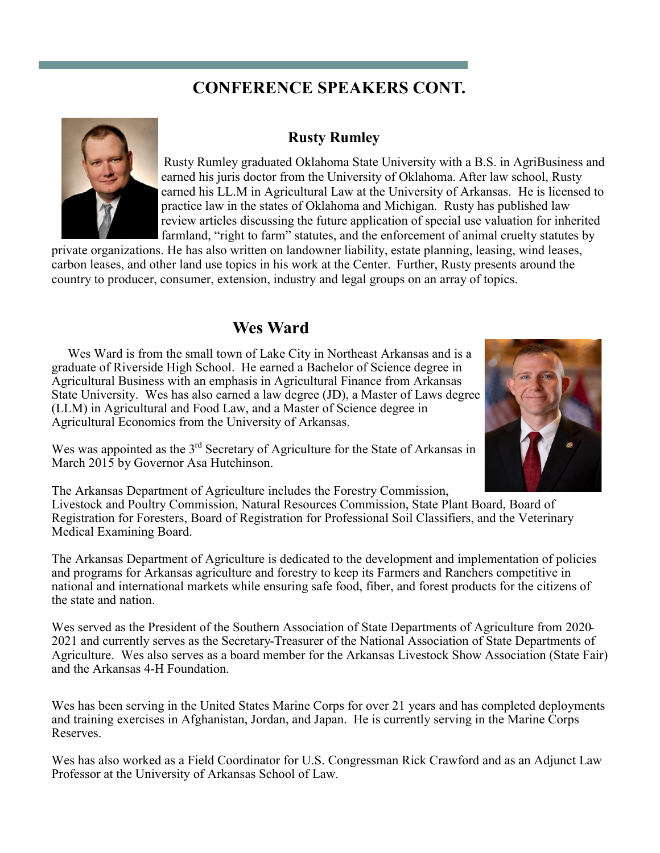# **CONFERENCE SPEAKERS CONT.**



#### **Rusty Rumley**

Rusty Rumley graduated Oklahoma State University with a B.S. in AgriBusiness and earned his juris doctor from the University of Oklahoma. After law school, Rusty earned his LL.M in Agricultural Law at the University of Arkansas. He is licensed to practice law in the states of Oklahoma and Michigan. Rusty has published law review articles discussing the future application of special use valuation for inherited farmland, "right to farm" statutes, and the enforcement of animal cruelty statutes by

private organizations. He has also written on landowner liability, estate planning, leasing, wind leases, carbon leases, and other land use topics in his work at the Center. Further, Rusty presents around the country to producer, consumer, extension, industry and legal groups on an array of topics.

## **Wes Ward**

 Wes Ward is from the small town of Lake City in Northeast Arkansas and is a graduate of Riverside High School. He earned a Bachelor of Science degree in Agricultural Business with an emphasis in Agricultural Finance from Arkansas State University. Wes has also earned a law degree (JD), a Master of Laws degree (LLM) in Agricultural and Food Law, and a Master of Science degree in Agricultural Economics from the University of Arkansas.



Wes was appointed as the  $3<sup>rd</sup>$  Secretary of Agriculture for the State of Arkansas in March 2015 by Governor Asa Hutchinson.

The Arkansas Department of Agriculture includes the Forestry Commission, Livestock and Poultry Commission, Natural Resources Commission, State Plant Board, Board of Registration for Foresters, Board of Registration for Professional Soil Classifiers, and the Veterinary Medical Examining Board.

The Arkansas Department of Agriculture is dedicated to the development and implementation of policies and programs for Arkansas agriculture and forestry to keep its Farmers and Ranchers competitive in national and international markets while ensuring safe food, fiber, and forest products for the citizens of the state and nation.

Wes served as the President of the Southern Association of State Departments of Agriculture from 2020- 2021 and currently serves as the Secretary-Treasurer of the National Association of State Departments of Agriculture. Wes also serves as a board member for the Arkansas Livestock Show Association (State Fair) and the Arkansas 4-H Foundation.

Wes has been serving in the United States Marine Corps for over 21 years and has completed deployments and training exercises in Afghanistan, Jordan, and Japan. He is currently serving in the Marine Corps Reserves.

Wes has also worked as a Field Coordinator for U.S. Congressman Rick Crawford and as an Adjunct Law Professor at the University of Arkansas School of Law.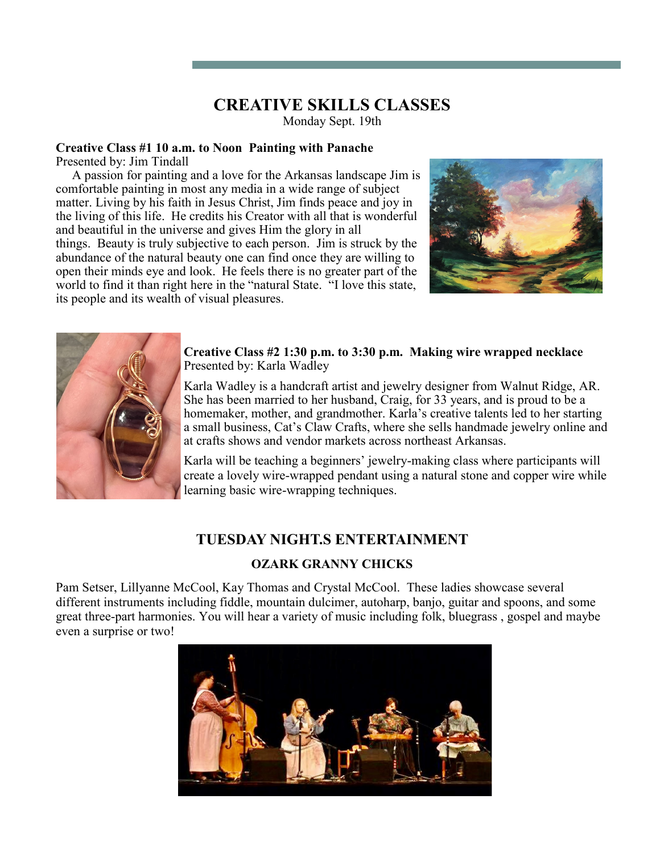# **CREATIVE SKILLS CLASSES**

Monday Sept. 19th

## **Creative Class #1 10 a.m. to Noon Painting with Panache**

Presented by: Jim Tindall

 A passion for painting and a love for the Arkansas landscape Jim is comfortable painting in most any media in a wide range of subject matter. Living by his faith in Jesus Christ, Jim finds peace and joy in the living of this life. He credits his Creator with all that is wonderful and beautiful in the universe and gives Him the glory in all things. Beauty is truly subjective to each person. Jim is struck by the abundance of the natural beauty one can find once they are willing to open their minds eye and look. He feels there is no greater part of the world to find it than right here in the "natural State. "I love this state, its people and its wealth of visual pleasures.





**Creative Class #2 1:30 p.m. to 3:30 p.m. Making wire wrapped necklace** Presented by: Karla Wadley

Karla Wadley is a handcraft artist and jewelry designer from Walnut Ridge, AR. She has been married to her husband, Craig, for 33 years, and is proud to be a homemaker, mother, and grandmother. Karla's creative talents led to her starting a small business, Cat's Claw Crafts, where she sells handmade jewelry online and at crafts shows and vendor markets across northeast Arkansas.

Karla will be teaching a beginners' jewelry-making class where participants will create a lovely wire-wrapped pendant using a natural stone and copper wire while learning basic wire-wrapping techniques.

### **TUESDAY NIGHT.S ENTERTAINMENT**

### **OZARK GRANNY CHICKS**

Pam Setser, Lillyanne McCool, Kay Thomas and Crystal McCool. These ladies showcase several different instruments including fiddle, mountain dulcimer, autoharp, banjo, guitar and spoons, and some great three-part harmonies. You will hear a variety of music including folk, bluegrass , gospel and maybe even a surprise or two!